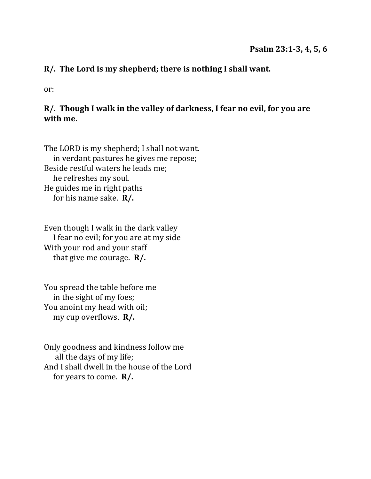### R/. The Lord is my shepherd; there is nothing I shall want.

or:

### R/. Though I walk in the valley of darkness, I fear no evil, for you are with me.

The LORD is my shepherd; I shall not want. in verdant pastures he gives me repose; Beside restful waters he leads me; he refreshes my soul. He guides me in right paths for his name sake.  $\mathbf{R}/$ .

Even though I walk in the dark valley I fear no evil; for you are at my side With your rod and your staff that give me courage.  $\mathbb{R}/$ .

You spread the table before me in the sight of my foes; You anoint my head with oil; my cup overflows. **R/.** 

Only goodness and kindness follow me all the days of my life; And I shall dwell in the house of the Lord for years to come.  $\mathbf{R}/$ .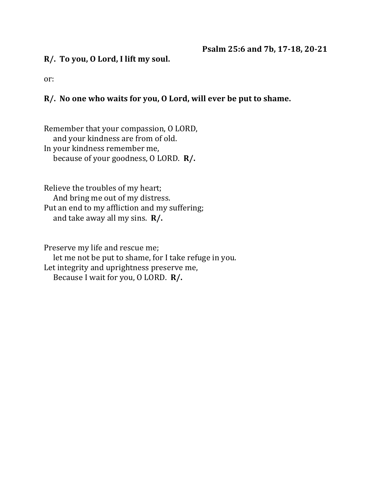#### **R/. To you, O Lord, I lift my soul.**

or:

#### R/. No one who waits for you, O Lord, will ever be put to shame.

Remember that your compassion, O LORD, and your kindness are from of old. In your kindness remember me, because of your goodness, O LORD. **R/.** 

Relieve the troubles of my heart; And bring me out of my distress. Put an end to my affliction and my suffering; and take away all my sins.  $\mathbf{R}/$ .

Preserve my life and rescue me; let me not be put to shame, for I take refuge in you. Let integrity and uprightness preserve me, Because I wait for you, O LORD. **R/.**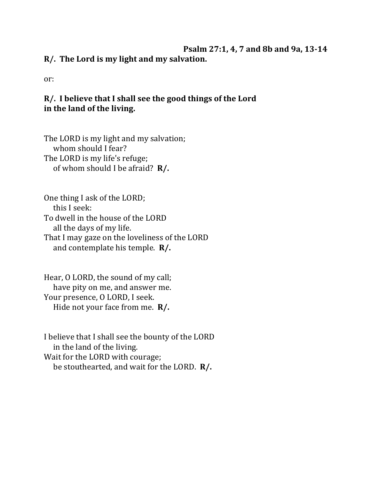### **Psalm 27:1, 4, 7 and 8b and 9a, 13-14** R/. The Lord is my light and my salvation.

or:

## R/. I believe that I shall see the good things of the Lord in the land of the living.

The LORD is my light and my salvation; whom should I fear? The LORD is my life's refuge; of whom should I be afraid? **R/.** 

One thing I ask of the LORD; this I seek: To dwell in the house of the LORD all the days of my life. That I may gaze on the loveliness of the LORD and contemplate his temple. **R/.** 

Hear, O LORD, the sound of my call; have pity on me, and answer me. Your presence, O LORD, I seek. Hide not your face from me. **R/.** 

I believe that I shall see the bounty of the LORD in the land of the living. Wait for the LORD with courage; be stouthearted, and wait for the LORD. **R/.**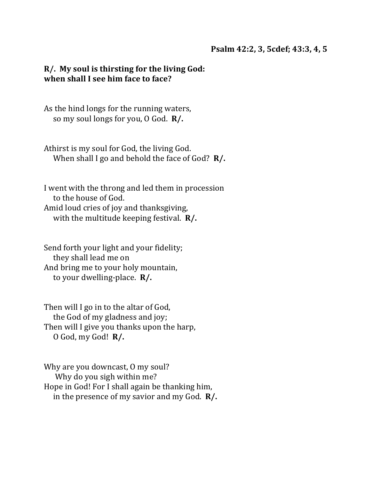#### **Psalm 42:2, 3, 5cdef; 43:3, 4, 5**

#### **R/.** My soul is thirsting for the living God: **when shall I see him face to face?**

As the hind longs for the running waters, so my soul longs for you, O God. R/.

Athirst is my soul for God, the living God. When shall I go and behold the face of God? **R/.** 

I went with the throng and led them in procession to the house of God. Amid loud cries of joy and thanksgiving, with the multitude keeping festival. **R/.** 

Send forth your light and your fidelity; they shall lead me on And bring me to your holy mountain, to your dwelling-place. **R/.** 

Then will I go in to the altar of God, the God of my gladness and joy; Then will I give you thanks upon the harp, O God, my God! **R/.**

Why are you downcast, 0 my soul? Why do you sigh within me? Hope in God! For I shall again be thanking him, in the presence of my savior and my God.  $\mathbb{R}/$ .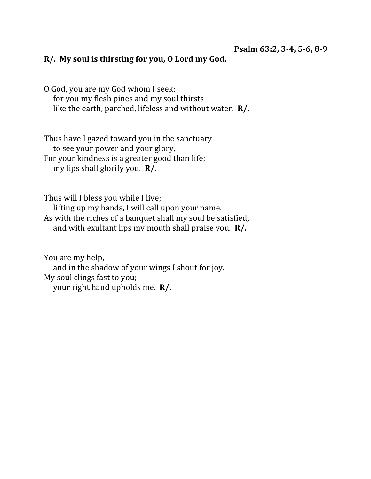#### R/. My soul is thirsting for you, O Lord my God.

O God, you are my God whom I seek; for you my flesh pines and my soul thirsts like the earth, parched, lifeless and without water. **R/.** 

Thus have I gazed toward you in the sanctuary to see your power and your glory, For your kindness is a greater good than life; my lips shall glorify you. **R/.** 

Thus will I bless you while I live; lifting up my hands, I will call upon your name. As with the riches of a banquet shall my soul be satisfied, and with exultant lips my mouth shall praise you.  $\mathbb{R}/$ .

You are my help, and in the shadow of your wings I shout for joy. My soul clings fast to you; your right hand upholds me. **R/.**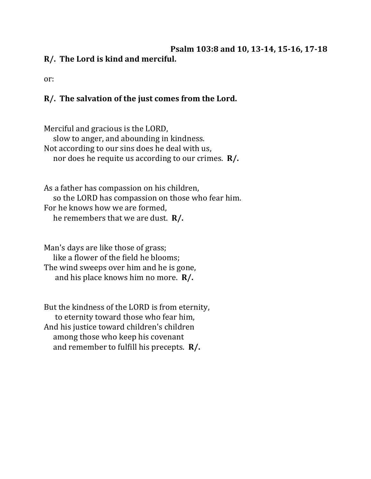### **Psalm 103:8 and 10, 13-14, 15-16, 17-18 R/.** The Lord is kind and merciful.

or:

# R/. The salvation of the just comes from the Lord.

Merciful and gracious is the LORD, slow to anger, and abounding in kindness. Not according to our sins does he deal with us, nor does he requite us according to our crimes. **R/.** 

As a father has compassion on his children, so the LORD has compassion on those who fear him. For he knows how we are formed. he remembers that we are dust. **R/.** 

Man's days are like those of grass; like a flower of the field he blooms: The wind sweeps over him and he is gone, and his place knows him no more. **R/.** 

But the kindness of the LORD is from eternity, to eternity toward those who fear him, And his justice toward children's children among those who keep his covenant and remember to fulfill his precepts. **R/.**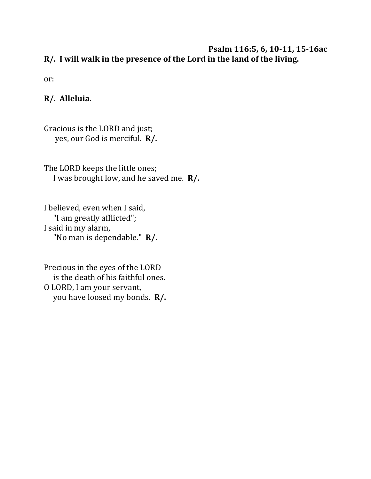#### Psalm 116:5, 6, 10-11, 15-16ac R/. I will walk in the presence of the Lord in the land of the living.

or:

### **R/. Alleluia.**

Gracious is the LORD and just; yes, our God is merciful. **R/.** 

The LORD keeps the little ones; I was brought low, and he saved me. **R/.** 

I believed, even when I said, "I am greatly afflicted"; I said in my alarm, "No man is dependable." **R/.** 

Precious in the eyes of the LORD is the death of his faithful ones. O LORD, I am your servant, you have loosed my bonds. **R/.**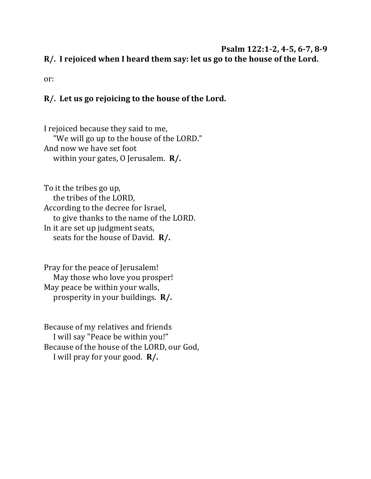#### **Psalm 122:1-2, 4-5, 6-7, 8-9**

R/. I rejoiced when I heard them say: let us go to the house of the Lord.

or:

## R/. Let us go rejoicing to the house of the Lord.

I rejoiced because they said to me, "We will go up to the house of the LORD." And now we have set foot within your gates, 0 Jerusalem. **R/.** 

To it the tribes go up, the tribes of the LORD, According to the decree for Israel, to give thanks to the name of the LORD. In it are set up judgment seats, seats for the house of David. **R/.** 

Pray for the peace of Jerusalem! May those who love you prosper! May peace be within your walls, prosperity in your buildings. **R/.** 

Because of my relatives and friends I will say "Peace be within you!" Because of the house of the LORD, our God, I will pray for your good. **R/.**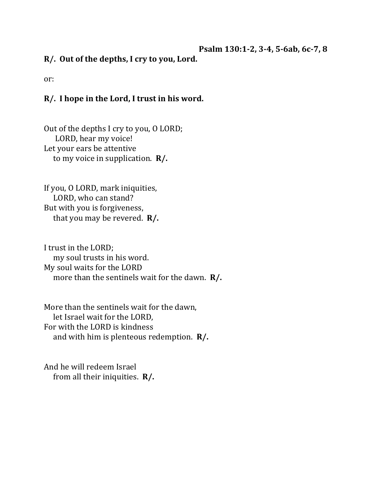Psalm 130:1-2, 3-4, 5-6ab, 6c-7, 8

R/. Out of the depths, I cry to you, Lord.

or:

### R/. I hope in the Lord, I trust in his word.

Out of the depths I cry to you, O LORD; LORD, hear my voice! Let your ears be attentive to my voice in supplication. **R/.** 

If you, O LORD, mark iniquities, LORD, who can stand? But with you is forgiveness, that you may be revered.  $\mathbb{R}/$ .

I trust in the LORD; my soul trusts in his word. My soul waits for the LORD more than the sentinels wait for the dawn. **R/.** 

More than the sentinels wait for the dawn, let Israel wait for the LORD, For with the LORD is kindness and with him is plenteous redemption. **R/.** 

And he will redeem Israel from all their iniquities. **R/.**